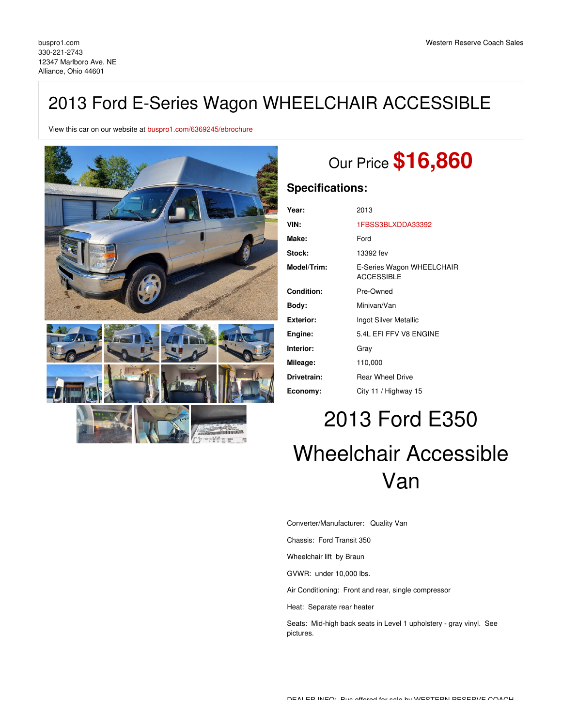## 2013 Ford E-Series Wagon WHEELCHAIR ACCESSIBLE

View this car on our website at [buspro1.com/6369245/ebrochure](https://buspro1.com/vehicle/6369245/2013-ford-e-series-wagon-wheelchair-accessible-alliance-ohio-44601/6369245/ebrochure)



# Our Price **\$16,860**

### **Specifications:**

| Year:            | 2013                                           |
|------------------|------------------------------------------------|
| VIN:             | 1FBSS3BLXDDA33392                              |
| Make:            | Ford                                           |
| Stock:           | 13392 fev                                      |
| Model/Trim:      | E-Series Wagon WHEELCHAIR<br><b>ACCESSIBLE</b> |
| Condition:       | Pre-Owned                                      |
| Body:            | Minivan/Van                                    |
| <b>Exterior:</b> | Ingot Silver Metallic                          |
| Engine:          | 5.4L EFI FFV V8 ENGINE                         |
| Interior:        | Gray                                           |
| Mileage:         | 110,000                                        |
| Drivetrain:      | <b>Rear Wheel Drive</b>                        |
| Economy:         | City 11 / Highway 15                           |

# 2013 Ford E350 Wheelchair Accessible Van

Converter/Manufacturer: Quality Van

Chassis: Ford Transit 350

Wheelchair lift by Braun

GVWR: under 10,000 lbs.

Air Conditioning: Front and rear, single compressor

Heat: Separate rear heater

Seats: Mid-high back seats in Level 1 upholstery - gray vinyl. See pictures.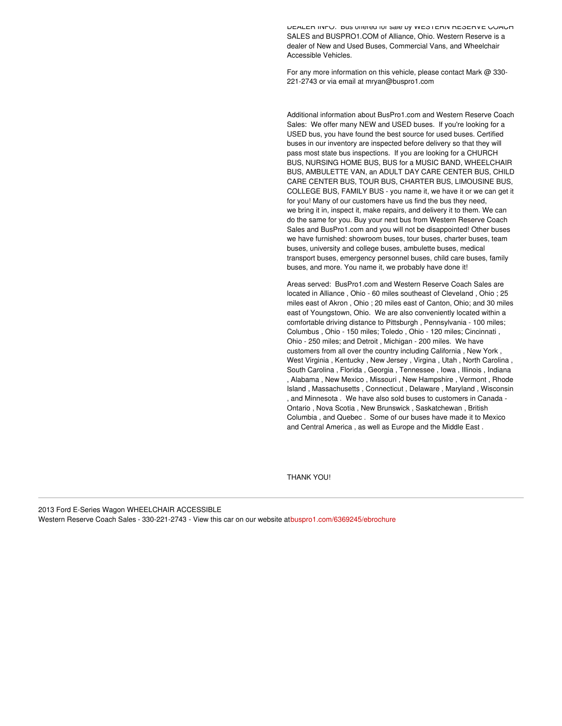DEALER INFO: BUS Offered for sale by WESTERN RESERVE COACH SALES and BUSPRO1.COM of Alliance, Ohio. Western Reserve is a dealer of New and Used Buses, Commercial Vans, and Wheelchair Accessible Vehicles.

For any more information on this vehicle, please contact Mark @ 330- 221-2743 or via email at mryan@buspro1.com

Additional information about BusPro1.com and Western Reserve Coach Sales: We offer many NEW and USED buses. If you're looking for a USED bus, you have found the best source for used buses. Certified buses in our inventory are inspected before delivery so that they will pass most state bus inspections. If you are looking for a CHURCH BUS, NURSING HOME BUS, BUS for a MUSIC BAND, WHEELCHAIR BUS, AMBULETTE VAN, an ADULT DAY CARE CENTER BUS, CHILD CARE CENTER BUS, TOUR BUS, CHARTER BUS, LIMOUSINE BUS, COLLEGE BUS, FAMILY BUS - you name it, we have it or we can get it for you! Many of our customers have us find the bus they need, we bring it in, inspect it, make repairs, and delivery it to them. We can do the same for you. Buy your next bus from Western Reserve Coach Sales and BusPro1.com and you will not be disappointed! Other buses we have furnished: showroom buses, tour buses, charter buses, team buses, university and college buses, ambulette buses, medical transport buses, emergency personnel buses, child care buses, family buses, and more. You name it, we probably have done it!

Areas served: BusPro1.com and Western Reserve Coach Sales are located in Alliance , Ohio - 60 miles southeast of Cleveland , Ohio ; 25 miles east of Akron , Ohio ; 20 miles east of Canton, Ohio; and 30 miles east of Youngstown, Ohio. We are also conveniently located within a comfortable driving distance to Pittsburgh , Pennsylvania - 100 miles; Columbus , Ohio - 150 miles; Toledo , Ohio - 120 miles; Cincinnati , Ohio - 250 miles; and Detroit , Michigan - 200 miles. We have customers from all over the country including California , New York , West Virginia , Kentucky , New Jersey , Virgina , Utah , North Carolina , South Carolina , Florida , Georgia , Tennessee , Iowa , Illinois , Indiana , Alabama , New Mexico , Missouri , New Hampshire , Vermont , Rhode Island , Massachusetts , Connecticut , Delaware , Maryland , Wisconsin , and Minnesota . We have also sold buses to customers in Canada - Ontario , Nova Scotia , New Brunswick , Saskatchewan , British Columbia , and Quebec . Some of our buses have made it to Mexico and Central America , as well as Europe and the Middle East .

THANK YOU!

2013 Ford E-Series Wagon WHEELCHAIR ACCESSIBLE

Western Reserve Coach Sales - 330-221-2743 - View this car on our website a[tbuspro1.com/6369245/ebrochure](https://buspro1.com/vehicle/6369245/2013-ford-e-series-wagon-wheelchair-accessible-alliance-ohio-44601/6369245/ebrochure)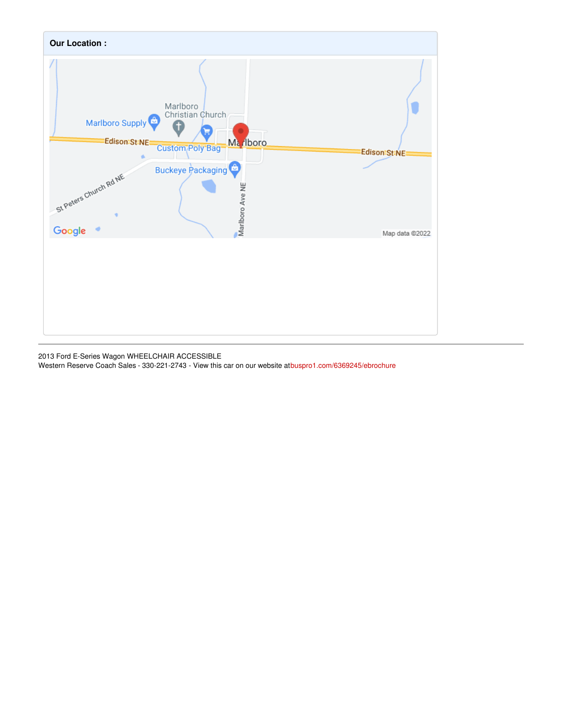

2013 Ford E-Series Wagon WHEELCHAIR ACCESSIBLE Western Reserve Coach Sales - 330-221-2743 - View this car on our website a[tbuspro1.com/6369245/ebrochure](https://buspro1.com/vehicle/6369245/2013-ford-e-series-wagon-wheelchair-accessible-alliance-ohio-44601/6369245/ebrochure)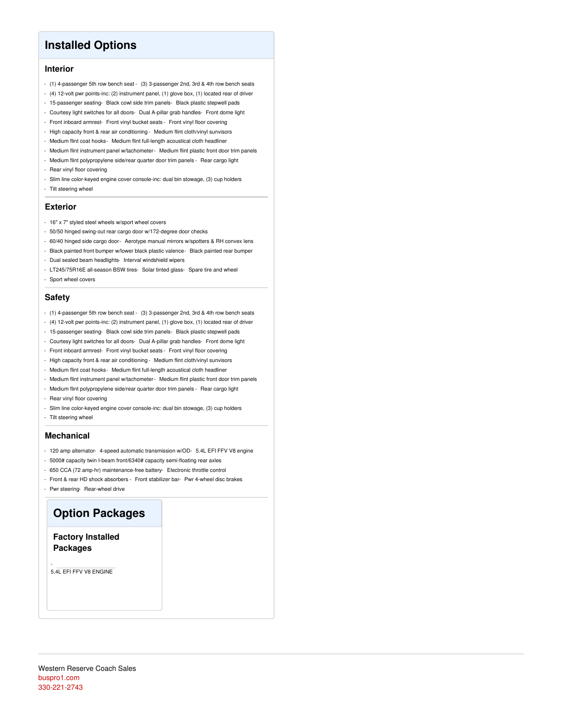## **Installed Options**

#### **Interior**

- (1) 4-passenger 5th row bench seat (3) 3-passenger 2nd, 3rd & 4th row bench seats
- (4) 12-volt pwr points-inc: (2) instrument panel, (1) glove box, (1) located rear of driver
- 15-passenger seating- Black cowl side trim panels- Black plastic stepwell pads
- Courtesy light switches for all doors- Dual A-pillar grab handles- Front dome light
- Front inboard armrest- Front vinyl bucket seats Front vinyl floor covering
- High capacity front & rear air conditioning Medium flint cloth/vinyl sunvisors
- Medium flint coat hooks- Medium flint full-length acoustical cloth headliner
- Medium flint instrument panel w/tachometer- Medium flint plastic front door trim panels
- Medium flint polypropylene side/rear quarter door trim panels Rear cargo light
- Rear vinyl floor covering
- Slim line color-keyed engine cover console-inc: dual bin stowage, (3) cup holders
- Tilt steering wheel

#### **Exterior**

- 16" x 7" styled steel wheels w/sport wheel covers
- 50/50 hinged swing-out rear cargo door w/172-degree door checks
- 60/40 hinged side cargo door- Aerotype manual mirrors w/spotters & RH convex lens
- Black painted front bumper w/lower black plastic valence- Black painted rear bumper
- Dual sealed beam headlights- Interval windshield wipers
- LT245/75R16E all-season BSW tires- Solar tinted glass- Spare tire and wheel
- Sport wheel covers

#### **Safety**

- (1) 4-passenger 5th row bench seat (3) 3-passenger 2nd, 3rd & 4th row bench seats
- (4) 12-volt pwr points-inc: (2) instrument panel, (1) glove box, (1) located rear of driver
- 15-passenger seating- Black cowl side trim panels- Black plastic stepwell pads
- Courtesy light switches for all doors- Dual A-pillar grab handles- Front dome light
- Front inboard armrest- Front vinyl bucket seats Front vinyl floor covering
- High capacity front & rear air conditioning Medium flint cloth/vinyl sunvisors
- Medium flint coat hooks- Medium flint full-length acoustical cloth headliner
- Medium flint instrument panel w/tachometer- Medium flint plastic front door trim panels
- Medium flint polypropylene side/rear quarter door trim panels Rear cargo light
- Rear vinyl floor covering
- Slim line color-keyed engine cover console-inc: dual bin stowage, (3) cup holders
- Tilt steering wheel

#### **Mechanical**

- 120 amp alternator- 4-speed automatic transmission w/OD- 5.4L EFI FFV V8 engine
- 5000# capacity twin I-beam front/6340# capacity semi-floating rear axles
- 650 CCA (72 amp-hr) maintenance-free battery- Electronic throttle control
- Front & rear HD shock absorbers Front stabilizer bar- Pwr 4-wheel disc brakes
- Pwr steering- Rear-wheel drive

#### **Option Packages**

**Factory Installed Packages**

5.4L EFI FFV V8 ENGINE

-